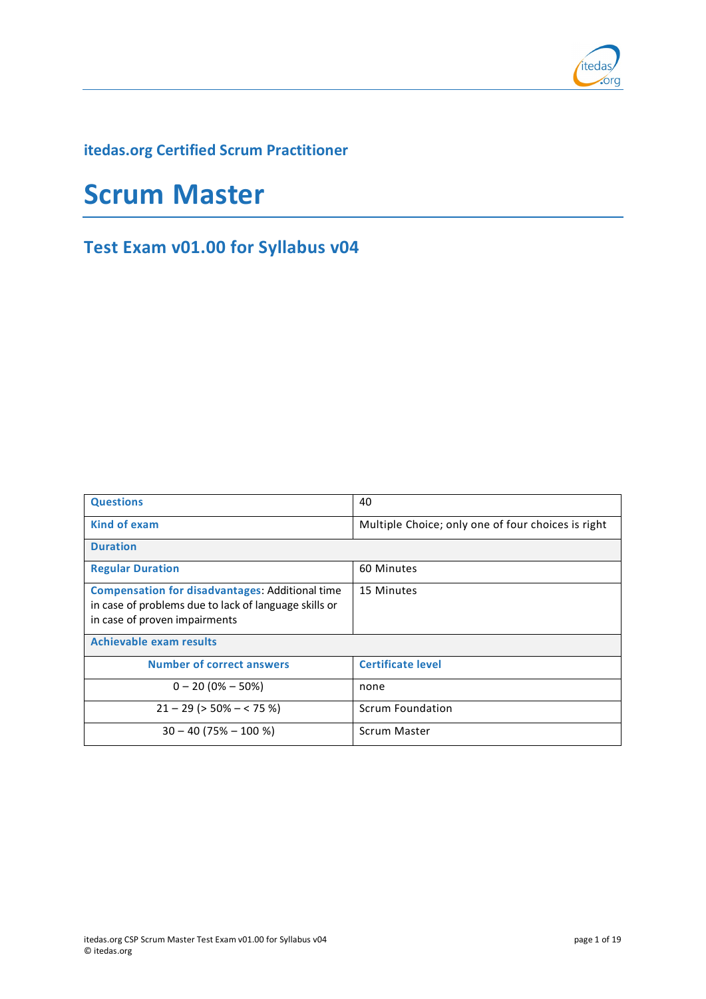

**itedas.org Certified Scrum Practitioner**

# **Scrum Master**

# **Test Exam v01.00 for Syllabus v04**

| <b>Questions</b>                                                                                                                                 | 40                                                 |  |  |  |
|--------------------------------------------------------------------------------------------------------------------------------------------------|----------------------------------------------------|--|--|--|
| Kind of exam                                                                                                                                     | Multiple Choice; only one of four choices is right |  |  |  |
| <b>Duration</b>                                                                                                                                  |                                                    |  |  |  |
| <b>Regular Duration</b>                                                                                                                          | 60 Minutes                                         |  |  |  |
| <b>Compensation for disadvantages: Additional time</b><br>in case of problems due to lack of language skills or<br>in case of proven impairments | 15 Minutes                                         |  |  |  |
| Achievable exam results                                                                                                                          |                                                    |  |  |  |
| <b>Number of correct answers</b>                                                                                                                 | <b>Certificate level</b>                           |  |  |  |
| $0 - 20 (0\% - 50\%)$                                                                                                                            | none                                               |  |  |  |
| $21 - 29$ (> 50% - < 75 %)                                                                                                                       | Scrum Foundation                                   |  |  |  |
| $30 - 40(75\% - 100\%)$                                                                                                                          | Scrum Master                                       |  |  |  |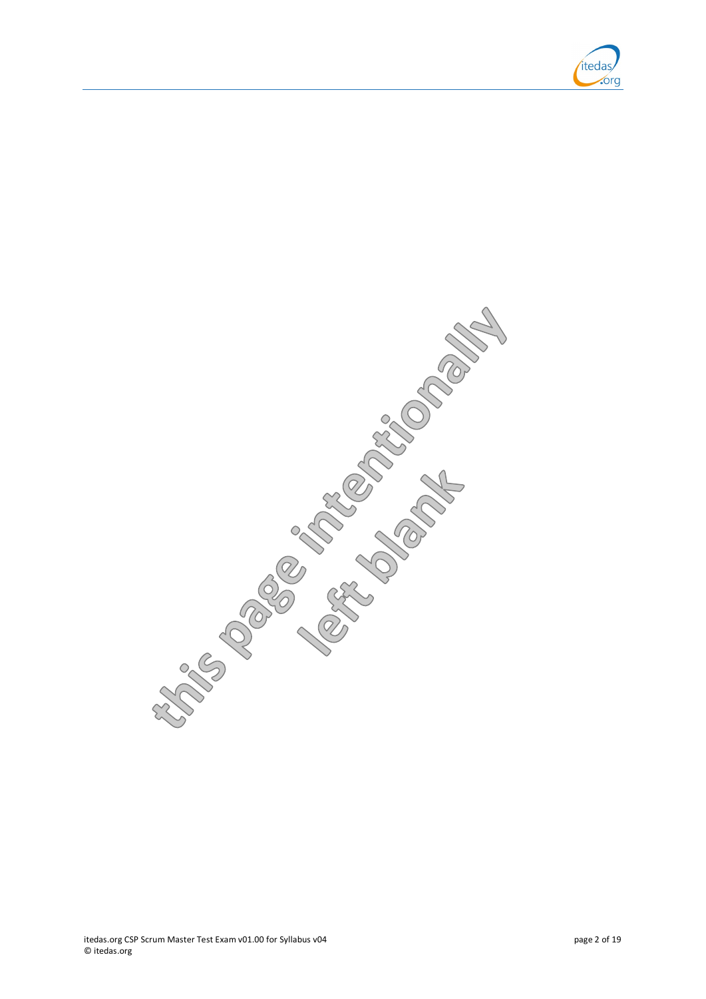

Magazine Magazine of Magazine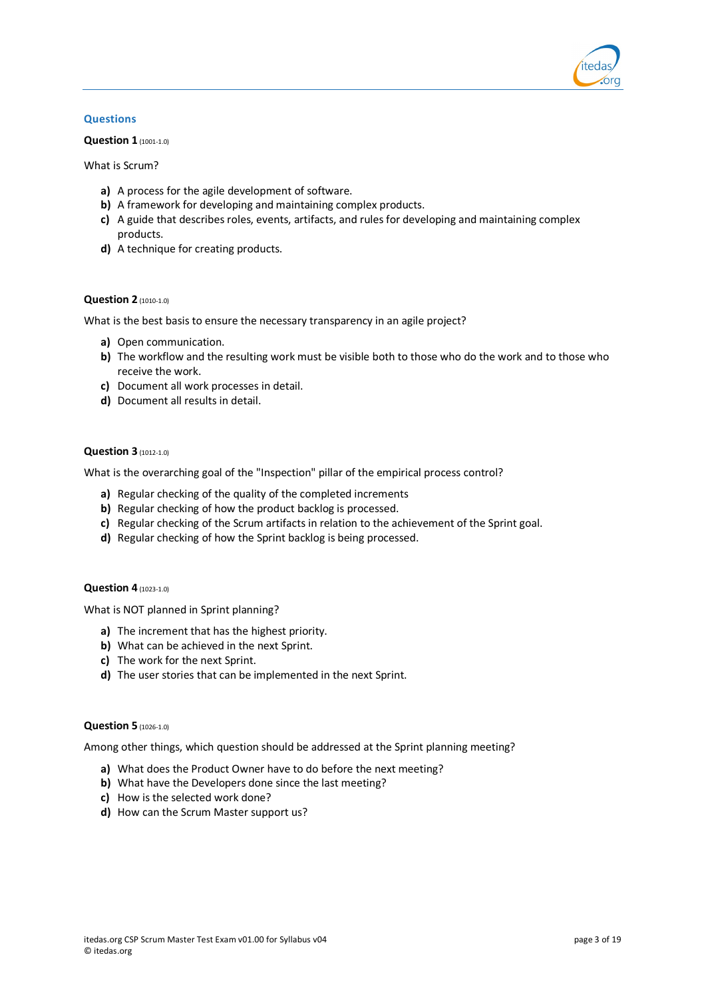

# **Questions**

**Question 1** (1001-1.0)

What is Scrum?

- **a)** A process for the agile development of software.
- **b)** A framework for developing and maintaining complex products.
- **c)** A guide that describes roles, events, artifacts, and rules for developing and maintaining complex products.
- **d)** A technique for creating products.

#### **Question 2** (1010-1.0)

What is the best basis to ensure the necessary transparency in an agile project?

- **a)** Open communication.
- **b)** The workflow and the resulting work must be visible both to those who do the work and to those who receive the work.
- **c)** Document all work processes in detail.
- **d)** Document all results in detail.

#### **Question 3** (1012-1.0)

What is the overarching goal of the "Inspection" pillar of the empirical process control?

- **a)** Regular checking of the quality of the completed increments
- **b)** Regular checking of how the product backlog is processed.
- **c)** Regular checking of the Scrum artifacts in relation to the achievement of the Sprint goal.
- **d)** Regular checking of how the Sprint backlog is being processed.

# **Question 4** (1023-1.0)

What is NOT planned in Sprint planning?

- **a)** The increment that has the highest priority.
- **b)** What can be achieved in the next Sprint.
- **c)** The work for the next Sprint.
- **d)** The user stories that can be implemented in the next Sprint.

# **Question 5** (1026-1.0)

Among other things, which question should be addressed at the Sprint planning meeting?

- **a)** What does the Product Owner have to do before the next meeting?
- **b)** What have the Developers done since the last meeting?
- **c)** How is the selected work done?
- **d)** How can the Scrum Master support us?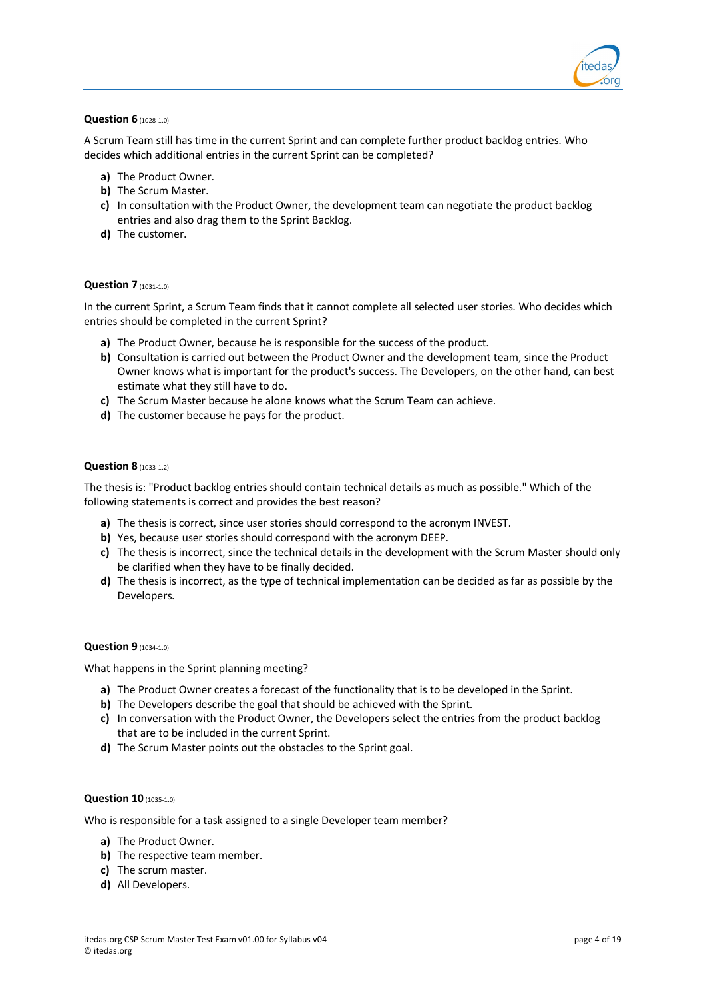

# **Question 6** (1028-1.0)

A Scrum Team still has time in the current Sprint and can complete further product backlog entries. Who decides which additional entries in the current Sprint can be completed?

- **a)** The Product Owner.
- **b)** The Scrum Master.
- **c)** In consultation with the Product Owner, the development team can negotiate the product backlog entries and also drag them to the Sprint Backlog.
- **d)** The customer.

# **Question 7** (1031-1.0)

In the current Sprint, a Scrum Team finds that it cannot complete all selected user stories. Who decides which entries should be completed in the current Sprint?

- **a)** The Product Owner, because he is responsible for the success of the product.
- **b)** Consultation is carried out between the Product Owner and the development team, since the Product Owner knows what is important for the product's success. The Developers, on the other hand, can best estimate what they still have to do.
- **c)** The Scrum Master because he alone knows what the Scrum Team can achieve.
- **d)** The customer because he pays for the product.

#### **Question 8** (1033-1.2)

The thesis is: "Product backlog entries should contain technical details as much as possible." Which of the following statements is correct and provides the best reason?

- **a)** The thesis is correct, since user stories should correspond to the acronym INVEST.
- **b)** Yes, because user stories should correspond with the acronym DEEP.
- **c)** The thesis is incorrect, since the technical details in the development with the Scrum Master should only be clarified when they have to be finally decided.
- **d)** The thesis is incorrect, as the type of technical implementation can be decided as far as possible by the Developers.

#### **Question 9** (1034-1.0)

What happens in the Sprint planning meeting?

- **a)** The Product Owner creates a forecast of the functionality that is to be developed in the Sprint.
- **b)** The Developers describe the goal that should be achieved with the Sprint.
- **c)** In conversation with the Product Owner, the Developers select the entries from the product backlog that are to be included in the current Sprint.
- **d)** The Scrum Master points out the obstacles to the Sprint goal.

#### **Question 10** (1035-1.0)

Who is responsible for a task assigned to a single Developer team member?

- **a)** The Product Owner.
- **b)** The respective team member.
- **c)** The scrum master.
- **d)** All Developers.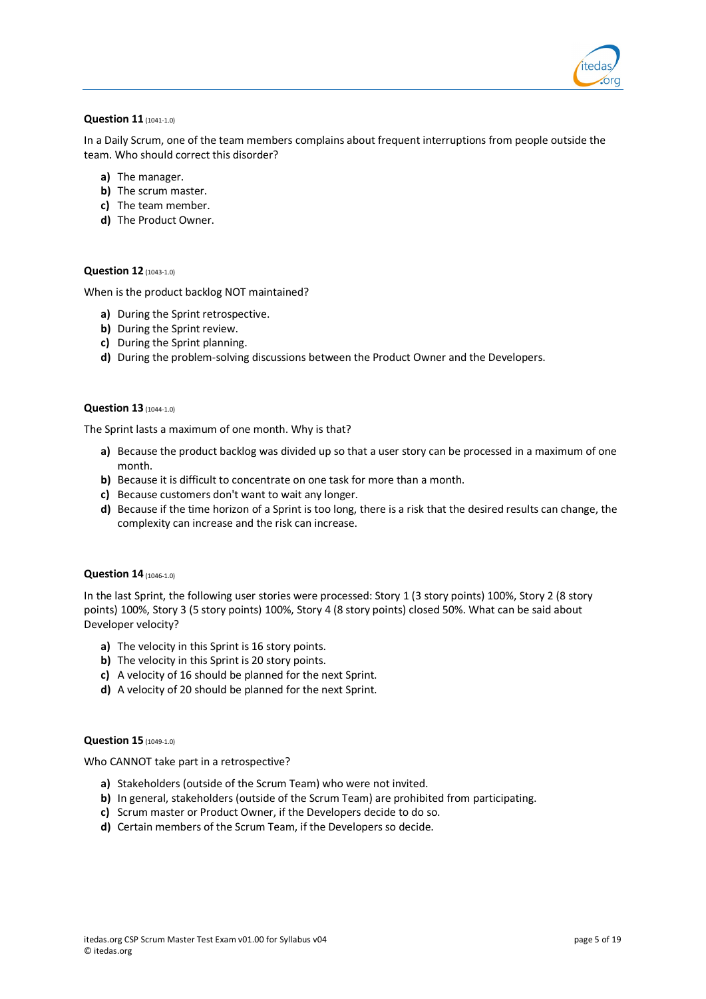

### **Question 11** (1041-1.0)

In a Daily Scrum, one of the team members complains about frequent interruptions from people outside the team. Who should correct this disorder?

- **a)** The manager.
- **b)** The scrum master.
- **c)** The team member.
- **d)** The Product Owner.

#### **Question 12** (1043-1.0)

When is the product backlog NOT maintained?

- **a)** During the Sprint retrospective.
- **b)** During the Sprint review.
- **c)** During the Sprint planning.
- **d)** During the problem-solving discussions between the Product Owner and the Developers.

#### **Question 13** (1044-1.0)

The Sprint lasts a maximum of one month. Why is that?

- **a)** Because the product backlog was divided up so that a user story can be processed in a maximum of one month.
- **b)** Because it is difficult to concentrate on one task for more than a month.
- **c)** Because customers don't want to wait any longer.
- **d)** Because if the time horizon of a Sprint is too long, there is a risk that the desired results can change, the complexity can increase and the risk can increase.

#### **Question 14** (1046-1.0)

In the last Sprint, the following user stories were processed: Story 1 (3 story points) 100%, Story 2 (8 story points) 100%, Story 3 (5 story points) 100%, Story 4 (8 story points) closed 50%. What can be said about Developer velocity?

- **a)** The velocity in this Sprint is 16 story points.
- **b)** The velocity in this Sprint is 20 story points.
- **c)** A velocity of 16 should be planned for the next Sprint.
- **d)** A velocity of 20 should be planned for the next Sprint.

### **Question 15** (1049-1.0)

Who CANNOT take part in a retrospective?

- **a)** Stakeholders (outside of the Scrum Team) who were not invited.
- **b)** In general, stakeholders (outside of the Scrum Team) are prohibited from participating.
- **c)** Scrum master or Product Owner, if the Developers decide to do so.
- **d)** Certain members of the Scrum Team, if the Developers so decide.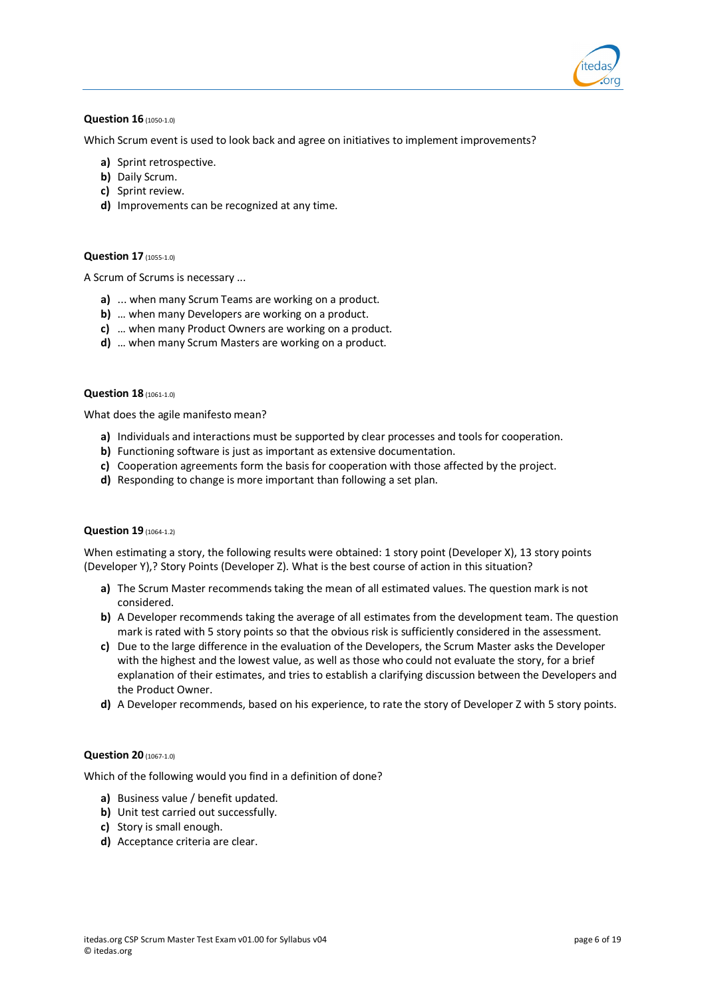

# **Question 16** (1050-1.0)

Which Scrum event is used to look back and agree on initiatives to implement improvements?

- **a)** Sprint retrospective.
- **b)** Daily Scrum.
- **c)** Sprint review.
- **d)** Improvements can be recognized at any time.

# **Question 17** (1055-1.0)

A Scrum of Scrums is necessary ...

- **a)** ... when many Scrum Teams are working on a product.
- **b)** … when many Developers are working on a product.
- **c)** … when many Product Owners are working on a product.
- **d)** … when many Scrum Masters are working on a product.

# **Question 18** (1061-1.0)

What does the agile manifesto mean?

- **a)** Individuals and interactions must be supported by clear processes and tools for cooperation.
- **b)** Functioning software is just as important as extensive documentation.
- **c)** Cooperation agreements form the basis for cooperation with those affected by the project.
- **d)** Responding to change is more important than following a set plan.

#### **Question 19** (1064-1.2)

When estimating a story, the following results were obtained: 1 story point (Developer X), 13 story points (Developer Y),? Story Points (Developer Z). What is the best course of action in this situation?

- **a)** The Scrum Master recommends taking the mean of all estimated values. The question mark is not considered.
- **b)** A Developer recommends taking the average of all estimates from the development team. The question mark is rated with 5 story points so that the obvious risk is sufficiently considered in the assessment.
- **c)** Due to the large difference in the evaluation of the Developers, the Scrum Master asks the Developer with the highest and the lowest value, as well as those who could not evaluate the story, for a brief explanation of their estimates, and tries to establish a clarifying discussion between the Developers and the Product Owner.
- **d)** A Developer recommends, based on his experience, to rate the story of Developer Z with 5 story points.

#### **Question 20** (1067-1.0)

Which of the following would you find in a definition of done?

- **a)** Business value / benefit updated.
- **b)** Unit test carried out successfully.
- **c)** Story is small enough.
- **d)** Acceptance criteria are clear.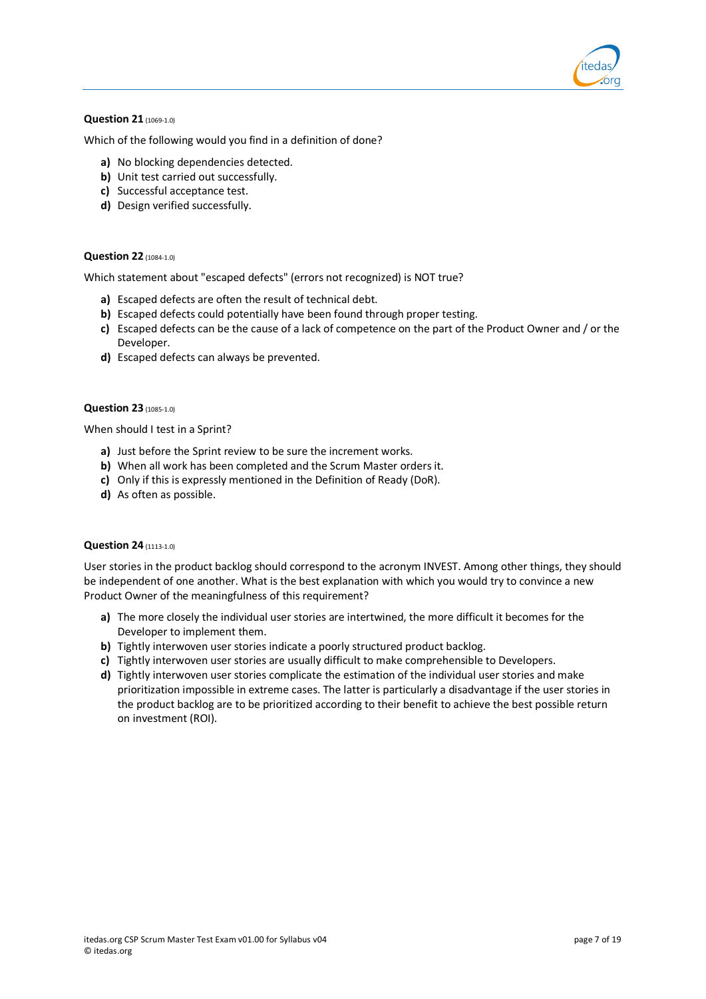

### **Question 21** (1069-1.0)

Which of the following would you find in a definition of done?

- **a)** No blocking dependencies detected.
- **b)** Unit test carried out successfully.
- **c)** Successful acceptance test.
- **d)** Design verified successfully.

#### **Question 22** (1084-1.0)

Which statement about "escaped defects" (errors not recognized) is NOT true?

- **a)** Escaped defects are often the result of technical debt.
- **b)** Escaped defects could potentially have been found through proper testing.
- **c)** Escaped defects can be the cause of a lack of competence on the part of the Product Owner and / or the Developer.
- **d)** Escaped defects can always be prevented.

#### **Question 23** (1085-1.0)

When should I test in a Sprint?

- **a)** Just before the Sprint review to be sure the increment works.
- **b)** When all work has been completed and the Scrum Master orders it.
- **c)** Only if this is expressly mentioned in the Definition of Ready (DoR).
- **d)** As often as possible.

#### **Question 24** (1113-1.0)

User stories in the product backlog should correspond to the acronym INVEST. Among other things, they should be independent of one another. What is the best explanation with which you would try to convince a new Product Owner of the meaningfulness of this requirement?

- **a)** The more closely the individual user stories are intertwined, the more difficult it becomes for the Developer to implement them.
- **b)** Tightly interwoven user stories indicate a poorly structured product backlog.
- **c)** Tightly interwoven user stories are usually difficult to make comprehensible to Developers.
- **d)** Tightly interwoven user stories complicate the estimation of the individual user stories and make prioritization impossible in extreme cases. The latter is particularly a disadvantage if the user stories in the product backlog are to be prioritized according to their benefit to achieve the best possible return on investment (ROI).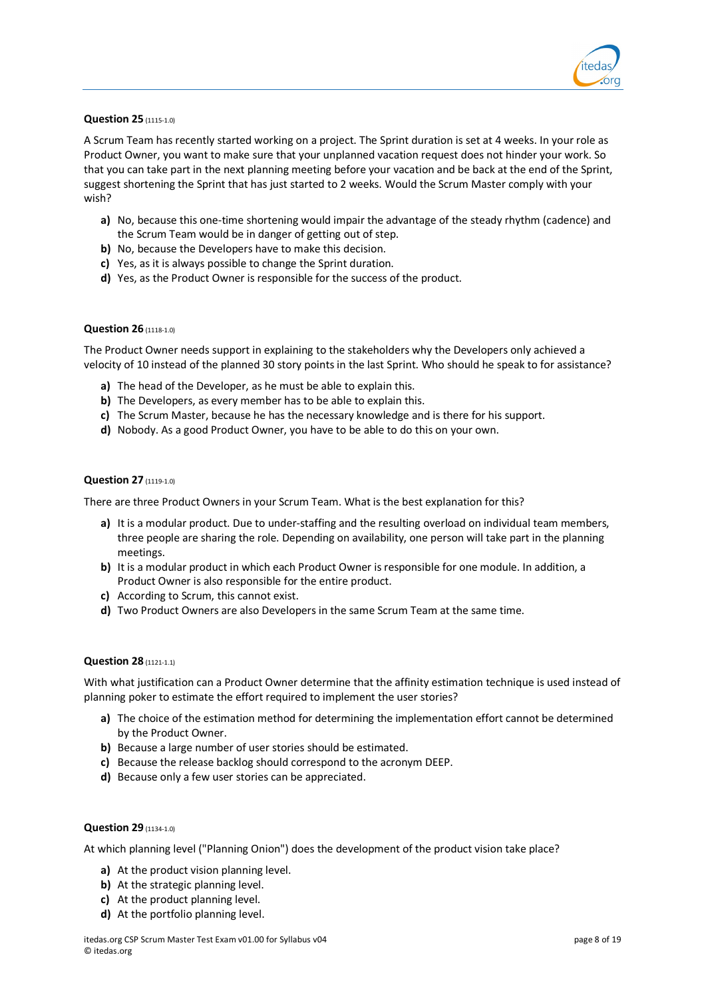

# **Question 25** (1115-1.0)

A Scrum Team has recently started working on a project. The Sprint duration is set at 4 weeks. In your role as Product Owner, you want to make sure that your unplanned vacation request does not hinder your work. So that you can take part in the next planning meeting before your vacation and be back at the end of the Sprint, suggest shortening the Sprint that has just started to 2 weeks. Would the Scrum Master comply with your wish?

- **a)** No, because this one-time shortening would impair the advantage of the steady rhythm (cadence) and the Scrum Team would be in danger of getting out of step.
- **b)** No, because the Developers have to make this decision.
- **c)** Yes, as it is always possible to change the Sprint duration.
- **d)** Yes, as the Product Owner is responsible for the success of the product.

#### **Question 26** (1118-1.0)

The Product Owner needs support in explaining to the stakeholders why the Developers only achieved a velocity of 10 instead of the planned 30 story points in the last Sprint. Who should he speak to for assistance?

- **a)** The head of the Developer, as he must be able to explain this.
- **b)** The Developers, as every member has to be able to explain this.
- **c)** The Scrum Master, because he has the necessary knowledge and is there for his support.
- **d)** Nobody. As a good Product Owner, you have to be able to do this on your own.

#### **Question 27** (1119-1.0)

There are three Product Owners in your Scrum Team. What is the best explanation for this?

- **a)** It is a modular product. Due to under-staffing and the resulting overload on individual team members, three people are sharing the role. Depending on availability, one person will take part in the planning meetings.
- **b)** It is a modular product in which each Product Owner is responsible for one module. In addition, a Product Owner is also responsible for the entire product.
- **c)** According to Scrum, this cannot exist.
- **d)** Two Product Owners are also Developers in the same Scrum Team at the same time.

#### **Question 28** (1121-1.1)

With what justification can a Product Owner determine that the affinity estimation technique is used instead of planning poker to estimate the effort required to implement the user stories?

- **a)** The choice of the estimation method for determining the implementation effort cannot be determined by the Product Owner.
- **b)** Because a large number of user stories should be estimated.
- **c)** Because the release backlog should correspond to the acronym DEEP.
- **d)** Because only a few user stories can be appreciated.

# **Question 29** (1134-1.0)

At which planning level ("Planning Onion") does the development of the product vision take place?

- **a)** At the product vision planning level.
- **b)** At the strategic planning level.
- **c)** At the product planning level.
- **d)** At the portfolio planning level.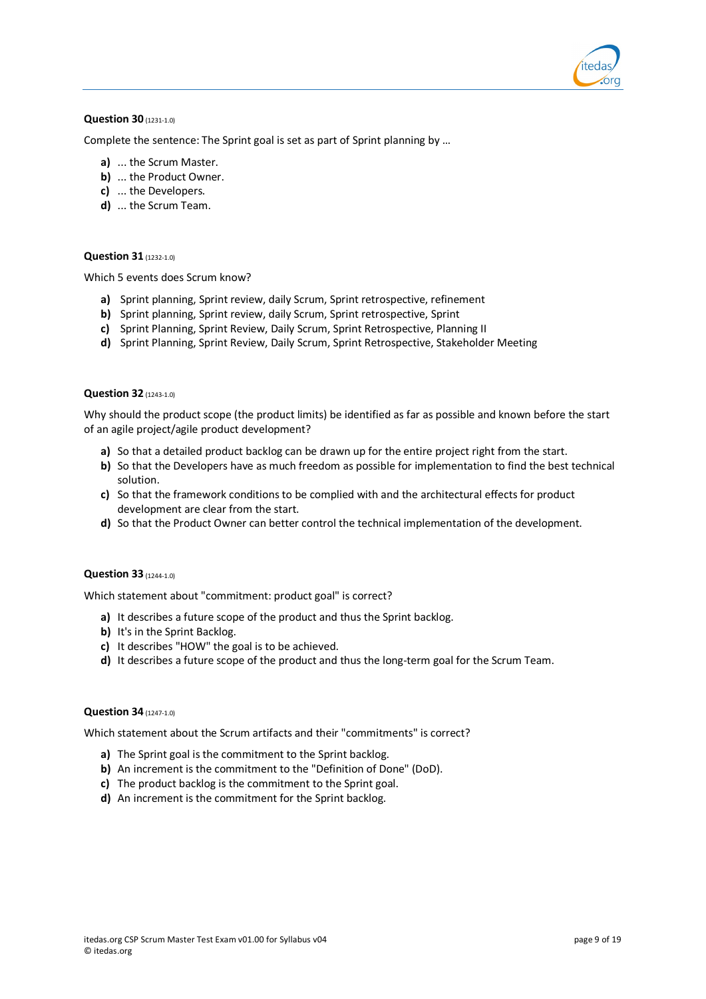

Complete the sentence: The Sprint goal is set as part of Sprint planning by …

- **a)** ... the Scrum Master.
- **b)** ... the Product Owner.
- **c)** ... the Developers.
- **d)** ... the Scrum Team.

#### **Question 31** (1232-1.0)

Which 5 events does Scrum know?

- **a)** Sprint planning, Sprint review, daily Scrum, Sprint retrospective, refinement
- **b)** Sprint planning, Sprint review, daily Scrum, Sprint retrospective, Sprint
- **c)** Sprint Planning, Sprint Review, Daily Scrum, Sprint Retrospective, Planning II
- **d)** Sprint Planning, Sprint Review, Daily Scrum, Sprint Retrospective, Stakeholder Meeting

#### **Question 32** (1243-1.0)

Why should the product scope (the product limits) be identified as far as possible and known before the start of an agile project/agile product development?

- **a)** So that a detailed product backlog can be drawn up for the entire project right from the start.
- **b)** So that the Developers have as much freedom as possible for implementation to find the best technical solution.
- **c)** So that the framework conditions to be complied with and the architectural effects for product development are clear from the start.
- **d)** So that the Product Owner can better control the technical implementation of the development.

#### **Question 33** (1244-1.0)

Which statement about "commitment: product goal" is correct?

- **a)** It describes a future scope of the product and thus the Sprint backlog.
- **b)** It's in the Sprint Backlog.
- **c)** It describes "HOW" the goal is to be achieved.
- **d)** It describes a future scope of the product and thus the long-term goal for the Scrum Team.

# **Question 34** (1247-1.0)

Which statement about the Scrum artifacts and their "commitments" is correct?

- **a)** The Sprint goal is the commitment to the Sprint backlog.
- **b)** An increment is the commitment to the "Definition of Done" (DoD).
- **c)** The product backlog is the commitment to the Sprint goal.
- **d)** An increment is the commitment for the Sprint backlog.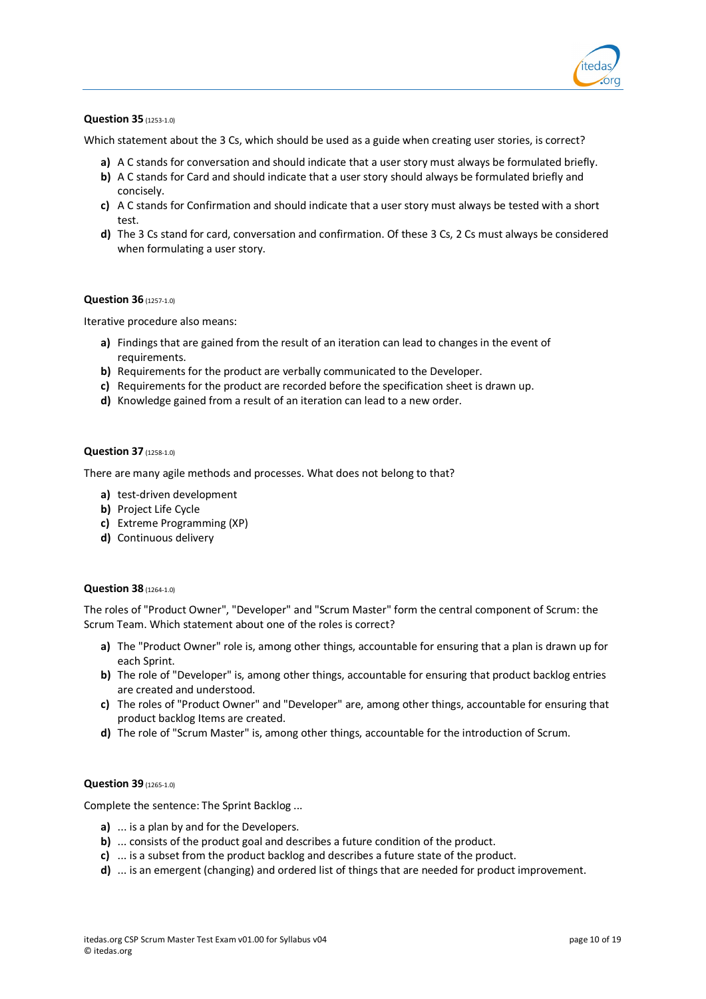

# **Question 35** (1253-1.0)

Which statement about the 3 Cs, which should be used as a guide when creating user stories, is correct?

- **a)** A C stands for conversation and should indicate that a user story must always be formulated briefly.
- **b)** A C stands for Card and should indicate that a user story should always be formulated briefly and concisely.
- **c)** A C stands for Confirmation and should indicate that a user story must always be tested with a short test.
- **d)** The 3 Cs stand for card, conversation and confirmation. Of these 3 Cs, 2 Cs must always be considered when formulating a user story.

#### **Question 36** (1257-1.0)

Iterative procedure also means:

- **a)** Findings that are gained from the result of an iteration can lead to changes in the event of requirements.
- **b)** Requirements for the product are verbally communicated to the Developer.
- **c)** Requirements for the product are recorded before the specification sheet is drawn up.
- **d)** Knowledge gained from a result of an iteration can lead to a new order.

#### **Question 37** (1258-1.0)

There are many agile methods and processes. What does not belong to that?

- **a)** test-driven development
- **b)** Project Life Cycle
- **c)** Extreme Programming (XP)
- **d)** Continuous delivery

#### **Question 38** (1264-1.0)

The roles of "Product Owner", "Developer" and "Scrum Master" form the central component of Scrum: the Scrum Team. Which statement about one of the roles is correct?

- **a)** The "Product Owner" role is, among other things, accountable for ensuring that a plan is drawn up for each Sprint.
- **b)** The role of "Developer" is, among other things, accountable for ensuring that product backlog entries are created and understood.
- **c)** The roles of "Product Owner" and "Developer" are, among other things, accountable for ensuring that product backlog Items are created.
- **d)** The role of "Scrum Master" is, among other things, accountable for the introduction of Scrum.

#### **Question 39** (1265-1.0)

Complete the sentence: The Sprint Backlog ...

- **a)** ... is a plan by and for the Developers.
- **b)** ... consists of the product goal and describes a future condition of the product.
- **c)** ... is a subset from the product backlog and describes a future state of the product.
- **d)** ... is an emergent (changing) and ordered list of things that are needed for product improvement.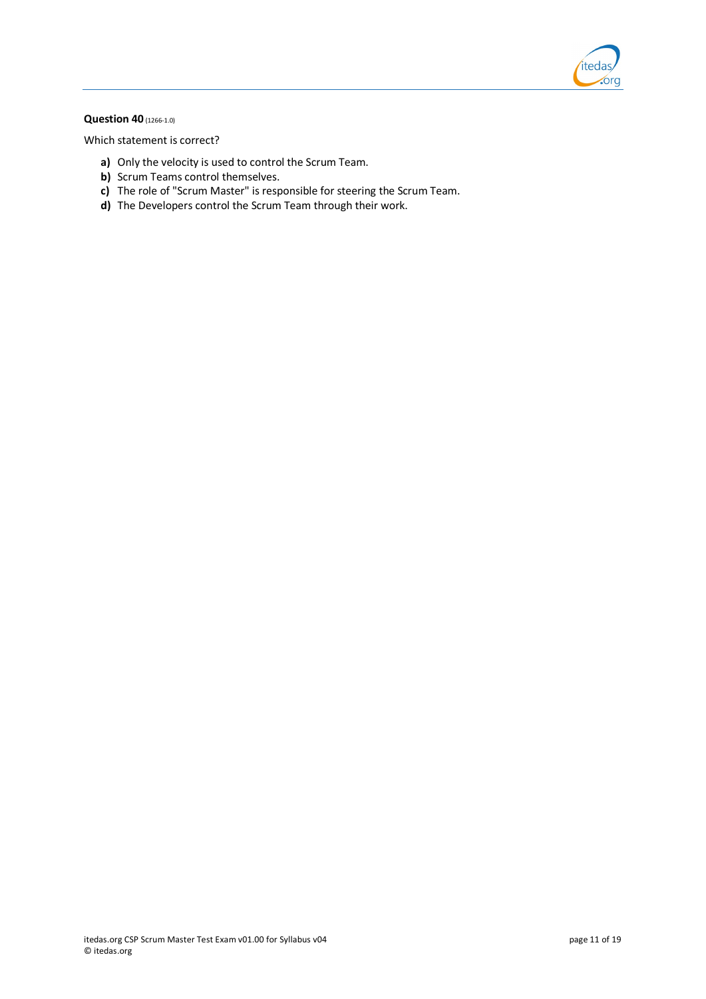

# **Question 40** (1266-1.0)

Which statement is correct?

- **a)** Only the velocity is used to control the Scrum Team.
- **b)** Scrum Teams control themselves.
- **c)** The role of "Scrum Master" is responsible for steering the Scrum Team.
- **d)** The Developers control the Scrum Team through their work.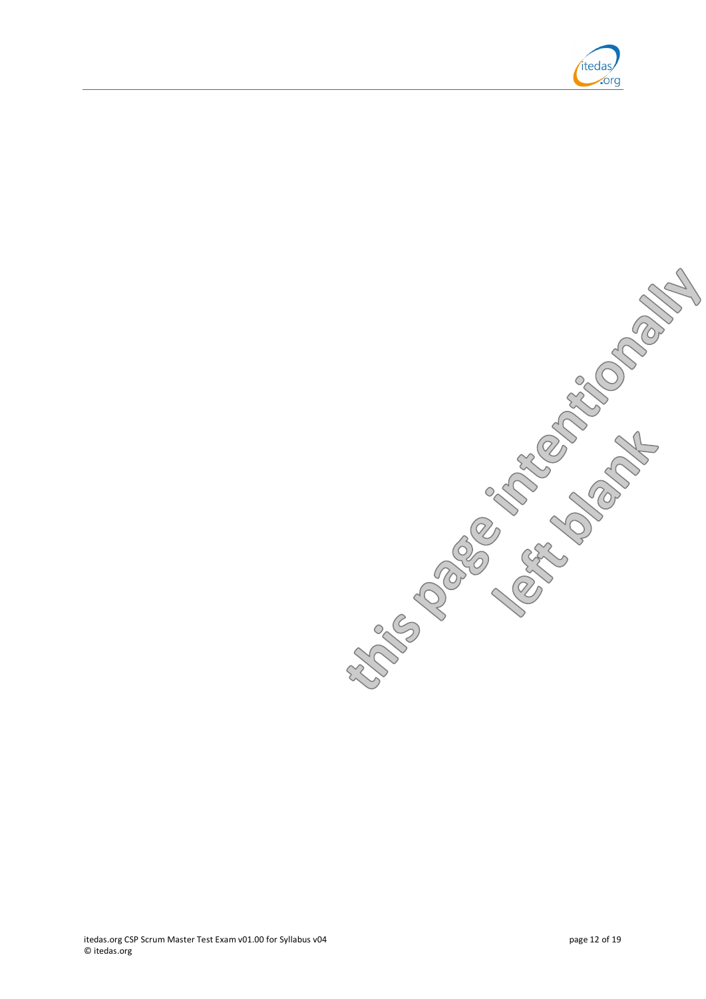

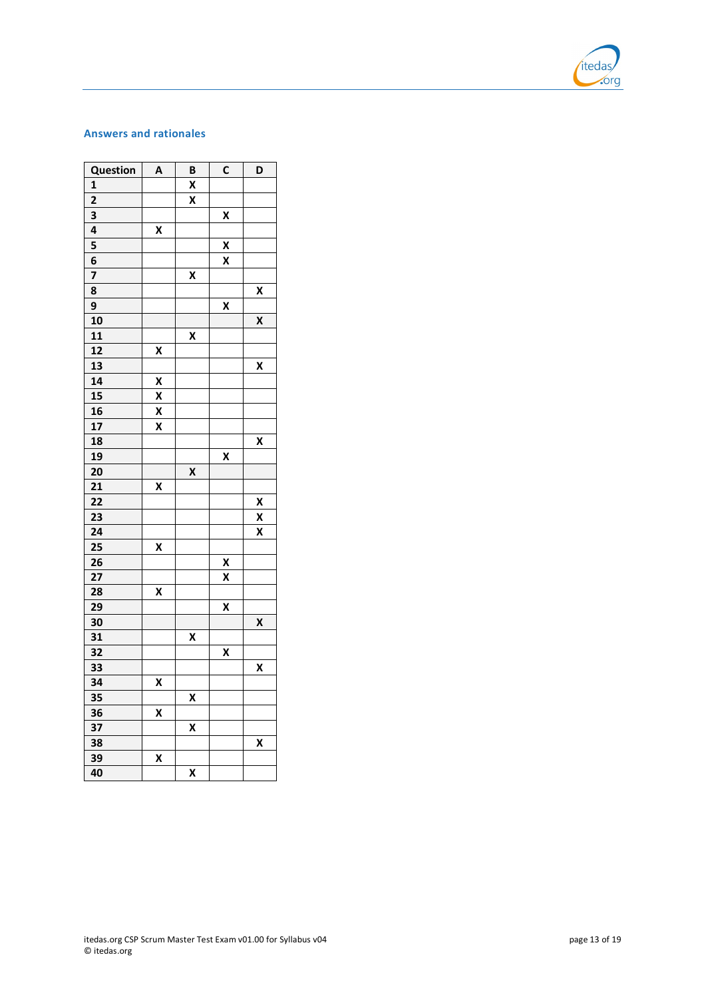

# **Answers and rationales**

| A | B | $\mathbf c$ | D |
|---|---|-------------|---|
|   | X |             |   |
|   | X |             |   |
|   |   | X           |   |
| X |   |             |   |
|   |   |             |   |
|   |   | X           |   |
|   | X |             |   |
|   |   |             | X |
|   |   | X           |   |
|   |   |             | X |
|   | X |             |   |
| X |   |             |   |
|   |   |             | X |
|   |   |             |   |
| X |   |             |   |
| X |   |             |   |
| X |   |             |   |
|   |   |             | X |
|   |   | X           |   |
|   | X |             |   |
| X |   |             |   |
|   |   |             | X |
|   |   |             | X |
|   |   |             | X |
| X |   |             |   |
|   |   | X           |   |
|   |   | X           |   |
| X |   |             |   |
|   |   | X           |   |
|   |   |             | X |
|   | X |             |   |
|   |   | X           |   |
|   |   |             | X |
| X |   |             |   |
|   | Χ |             |   |
| X |   |             |   |
|   | X |             |   |
|   |   |             |   |
|   |   |             | X |
| Χ |   |             |   |
|   | X |             | X |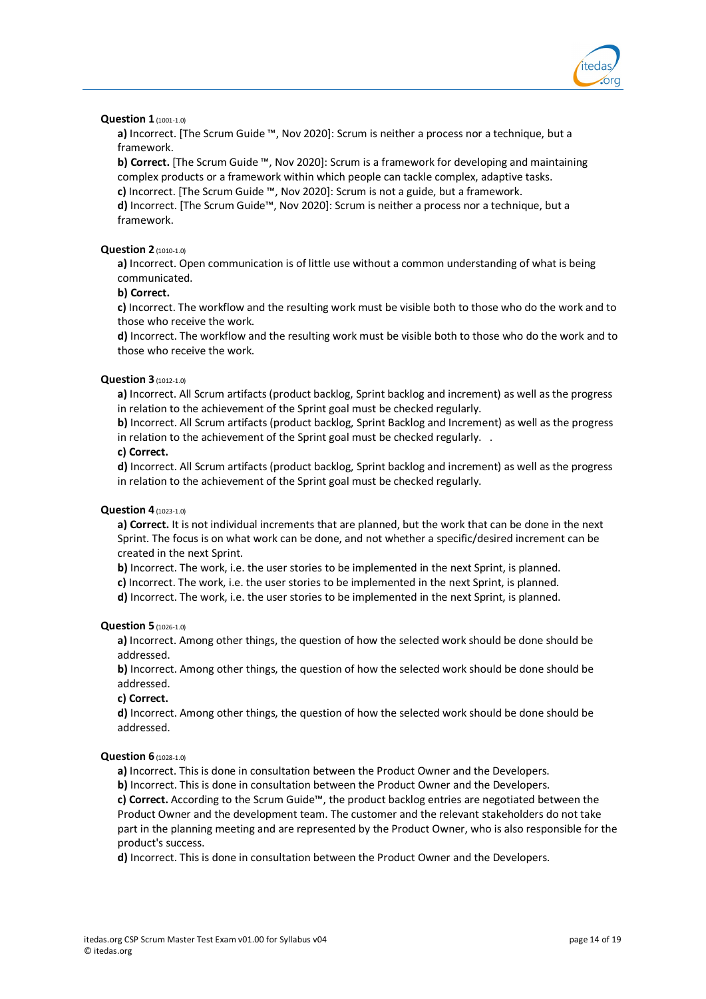

# **Question 1** (1001-1.0)

**a)** Incorrect. [The Scrum Guide ™, Nov 2020]: Scrum is neither a process nor a technique, but a framework.

**b) Correct.** [The Scrum Guide ™, Nov 2020]: Scrum is a framework for developing and maintaining complex products or a framework within which people can tackle complex, adaptive tasks.

**c)** Incorrect. [The Scrum Guide ™, Nov 2020]: Scrum is not a guide, but a framework.

**d)** Incorrect. [The Scrum Guide™, Nov 2020]: Scrum is neither a process nor a technique, but a framework.

# **Question 2** (1010-1.0)

**a)** Incorrect. Open communication is of little use without a common understanding of what is being communicated.

# **b) Correct.**

**c)** Incorrect. The workflow and the resulting work must be visible both to those who do the work and to those who receive the work.

**d)** Incorrect. The workflow and the resulting work must be visible both to those who do the work and to those who receive the work.

# **Question 3** (1012-1.0)

**a)** Incorrect. All Scrum artifacts (product backlog, Sprint backlog and increment) as well as the progress in relation to the achievement of the Sprint goal must be checked regularly.

**b)** Incorrect. All Scrum artifacts (product backlog, Sprint Backlog and Increment) as well as the progress in relation to the achievement of the Sprint goal must be checked regularly. .

# **c) Correct.**

**d)** Incorrect. All Scrum artifacts (product backlog, Sprint backlog and increment) as well as the progress in relation to the achievement of the Sprint goal must be checked regularly.

#### **Question 4** (1023-1.0)

**a) Correct.** It is not individual increments that are planned, but the work that can be done in the next Sprint. The focus is on what work can be done, and not whether a specific/desired increment can be created in the next Sprint.

**b)** Incorrect. The work, i.e. the user stories to be implemented in the next Sprint, is planned.

**c)** Incorrect. The work, i.e. the user stories to be implemented in the next Sprint, is planned.

**d)** Incorrect. The work, i.e. the user stories to be implemented in the next Sprint, is planned.

#### **Question 5** (1026-1.0)

**a)** Incorrect. Among other things, the question of how the selected work should be done should be addressed.

**b)** Incorrect. Among other things, the question of how the selected work should be done should be addressed.

#### **c) Correct.**

**d)** Incorrect. Among other things, the question of how the selected work should be done should be addressed.

# **Question 6** (1028-1.0)

**a)** Incorrect. This is done in consultation between the Product Owner and the Developers.

**b)** Incorrect. This is done in consultation between the Product Owner and the Developers. **c) Correct.** According to the Scrum Guide™, the product backlog entries are negotiated between the Product Owner and the development team. The customer and the relevant stakeholders do not take part in the planning meeting and are represented by the Product Owner, who is also responsible for the product's success.

**d)** Incorrect. This is done in consultation between the Product Owner and the Developers.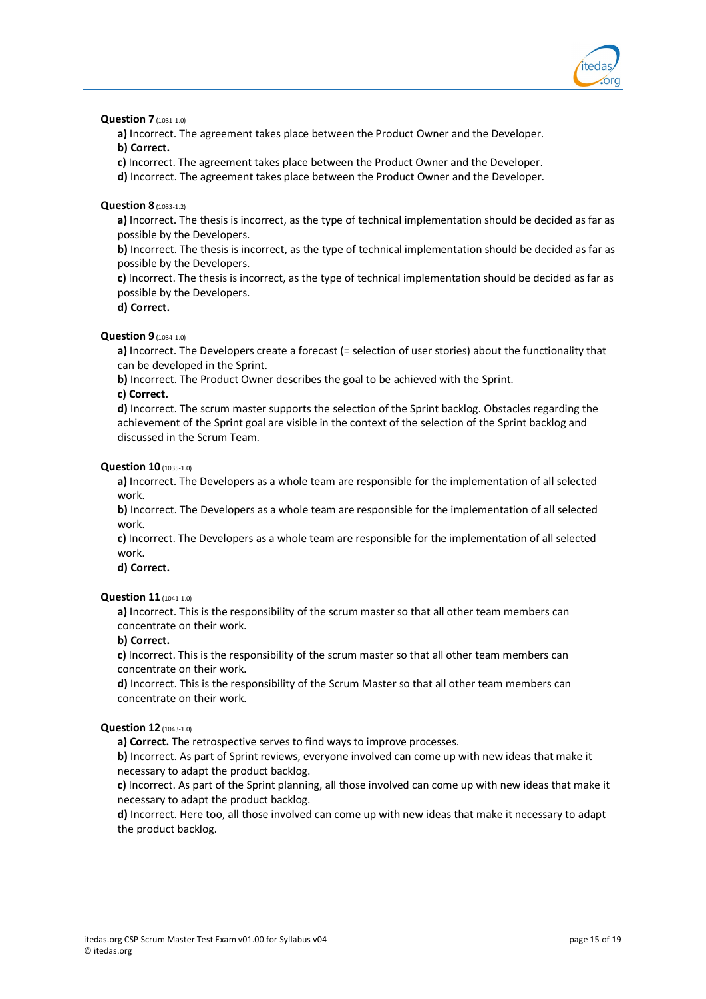

# **Question 7** (1031-1.0)

**a)** Incorrect. The agreement takes place between the Product Owner and the Developer.

**b) Correct.**

- **c)** Incorrect. The agreement takes place between the Product Owner and the Developer.
- **d)** Incorrect. The agreement takes place between the Product Owner and the Developer.

# **Question 8** (1033-1.2)

**a)** Incorrect. The thesis is incorrect, as the type of technical implementation should be decided as far as possible by the Developers.

**b)** Incorrect. The thesis is incorrect, as the type of technical implementation should be decided as far as possible by the Developers.

**c)** Incorrect. The thesis is incorrect, as the type of technical implementation should be decided as far as possible by the Developers.

**d) Correct.**

# **Question 9** (1034-1.0)

**a)** Incorrect. The Developers create a forecast (= selection of user stories) about the functionality that can be developed in the Sprint.

**b)** Incorrect. The Product Owner describes the goal to be achieved with the Sprint.

# **c) Correct.**

**d)** Incorrect. The scrum master supports the selection of the Sprint backlog. Obstacles regarding the achievement of the Sprint goal are visible in the context of the selection of the Sprint backlog and discussed in the Scrum Team.

# **Question 10** (1035-1.0)

**a)** Incorrect. The Developers as a whole team are responsible for the implementation of all selected work.

**b)** Incorrect. The Developers as a whole team are responsible for the implementation of all selected work.

**c)** Incorrect. The Developers as a whole team are responsible for the implementation of all selected work.

# **d) Correct.**

# **Question 11** (1041-1.0)

**a)** Incorrect. This is the responsibility of the scrum master so that all other team members can concentrate on their work.

# **b) Correct.**

**c)** Incorrect. This is the responsibility of the scrum master so that all other team members can concentrate on their work.

**d)** Incorrect. This is the responsibility of the Scrum Master so that all other team members can concentrate on their work.

# **Question 12** (1043-1.0)

**a) Correct.** The retrospective serves to find ways to improve processes.

**b)** Incorrect. As part of Sprint reviews, everyone involved can come up with new ideas that make it necessary to adapt the product backlog.

**c)** Incorrect. As part of the Sprint planning, all those involved can come up with new ideas that make it necessary to adapt the product backlog.

**d)** Incorrect. Here too, all those involved can come up with new ideas that make it necessary to adapt the product backlog.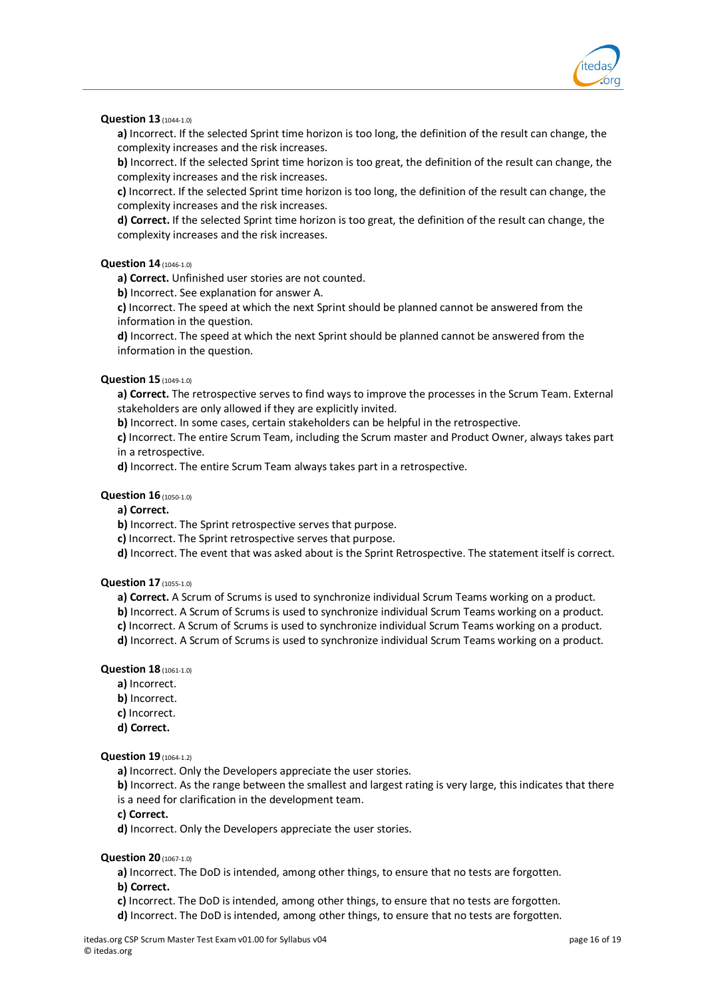

# **Question 13** (1044-1.0)

**a)** Incorrect. If the selected Sprint time horizon is too long, the definition of the result can change, the complexity increases and the risk increases.

**b)** Incorrect. If the selected Sprint time horizon is too great, the definition of the result can change, the complexity increases and the risk increases.

**c)** Incorrect. If the selected Sprint time horizon is too long, the definition of the result can change, the complexity increases and the risk increases.

**d) Correct.** If the selected Sprint time horizon is too great, the definition of the result can change, the complexity increases and the risk increases.

# **Question 14** (1046-1.0)

**a) Correct.** Unfinished user stories are not counted.

**b)** Incorrect. See explanation for answer A.

**c)** Incorrect. The speed at which the next Sprint should be planned cannot be answered from the information in the question.

**d)** Incorrect. The speed at which the next Sprint should be planned cannot be answered from the information in the question.

# **Question 15** (1049-1.0)

**a) Correct.** The retrospective serves to find ways to improve the processes in the Scrum Team. External stakeholders are only allowed if they are explicitly invited.

**b)** Incorrect. In some cases, certain stakeholders can be helpful in the retrospective.

**c)** Incorrect. The entire Scrum Team, including the Scrum master and Product Owner, always takes part in a retrospective.

**d)** Incorrect. The entire Scrum Team always takes part in a retrospective.

# **Question 16** (1050-1.0)

**a) Correct.**

**b)** Incorrect. The Sprint retrospective serves that purpose.

**c)** Incorrect. The Sprint retrospective serves that purpose.

**d)** Incorrect. The event that was asked about is the Sprint Retrospective. The statement itself is correct.

#### **Question 17** (1055-1.0)

**a) Correct.** A Scrum of Scrums is used to synchronize individual Scrum Teams working on a product.

**b)** Incorrect. A Scrum of Scrums is used to synchronize individual Scrum Teams working on a product.

**c)** Incorrect. A Scrum of Scrums is used to synchronize individual Scrum Teams working on a product.

**d)** Incorrect. A Scrum of Scrums is used to synchronize individual Scrum Teams working on a product.

# **Question 18** (1061-1.0)

**a)** Incorrect.

**b)** Incorrect.

**c)** Incorrect.

**d) Correct.**

# **Question 19** (1064-1.2)

**a)** Incorrect. Only the Developers appreciate the user stories.

**b**) Incorrect. As the range between the smallest and largest rating is very large, this indicates that there is a need for clarification in the development team.

**c) Correct.**

**d)** Incorrect. Only the Developers appreciate the user stories.

#### **Question 20** (1067-1.0)

**a)** Incorrect. The DoD is intended, among other things, to ensure that no tests are forgotten. **b) Correct.**

**c)** Incorrect. The DoD is intended, among other things, to ensure that no tests are forgotten.

**d)** Incorrect. The DoD is intended, among other things, to ensure that no tests are forgotten.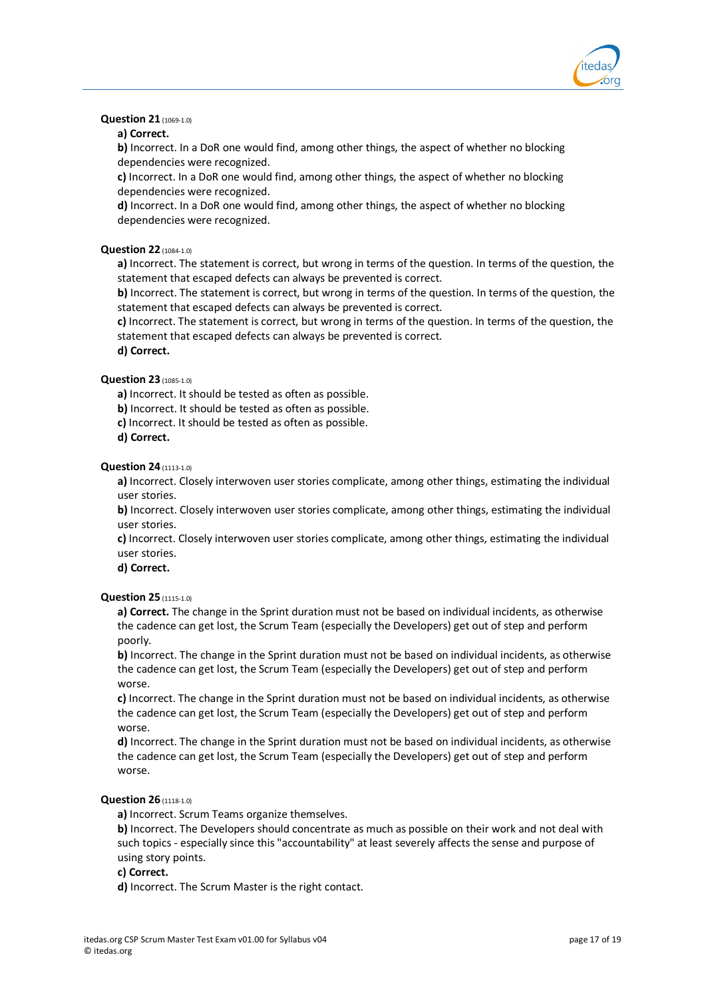

# **Question 21** (1069-1.0)

# **a) Correct.**

**b)** Incorrect. In a DoR one would find, among other things, the aspect of whether no blocking dependencies were recognized.

**c)** Incorrect. In a DoR one would find, among other things, the aspect of whether no blocking dependencies were recognized.

**d)** Incorrect. In a DoR one would find, among other things, the aspect of whether no blocking dependencies were recognized.

# **Question 22** (1084-1.0)

**a)** Incorrect. The statement is correct, but wrong in terms of the question. In terms of the question, the statement that escaped defects can always be prevented is correct.

**b)** Incorrect. The statement is correct, but wrong in terms of the question. In terms of the question, the statement that escaped defects can always be prevented is correct.

**c)** Incorrect. The statement is correct, but wrong in terms of the question. In terms of the question, the statement that escaped defects can always be prevented is correct.

#### **d) Correct.**

# **Question 23** (1085-1.0)

**a)** Incorrect. It should be tested as often as possible.

**b)** Incorrect. It should be tested as often as possible.

- **c)** Incorrect. It should be tested as often as possible.
- **d) Correct.**

# **Question 24** (1113-1.0)

**a)** Incorrect. Closely interwoven user stories complicate, among other things, estimating the individual user stories.

**b)** Incorrect. Closely interwoven user stories complicate, among other things, estimating the individual user stories.

**c)** Incorrect. Closely interwoven user stories complicate, among other things, estimating the individual user stories.

**d) Correct.**

# **Question 25** (1115-1.0)

**a) Correct.** The change in the Sprint duration must not be based on individual incidents, as otherwise the cadence can get lost, the Scrum Team (especially the Developers) get out of step and perform poorly.

**b)** Incorrect. The change in the Sprint duration must not be based on individual incidents, as otherwise the cadence can get lost, the Scrum Team (especially the Developers) get out of step and perform worse.

**c)** Incorrect. The change in the Sprint duration must not be based on individual incidents, as otherwise the cadence can get lost, the Scrum Team (especially the Developers) get out of step and perform worse.

**d)** Incorrect. The change in the Sprint duration must not be based on individual incidents, as otherwise the cadence can get lost, the Scrum Team (especially the Developers) get out of step and perform worse.

# **Question 26** (1118-1.0)

**a)** Incorrect. Scrum Teams organize themselves.

**b)** Incorrect. The Developers should concentrate as much as possible on their work and not deal with such topics - especially since this "accountability" at least severely affects the sense and purpose of using story points.

#### **c) Correct.**

**d)** Incorrect. The Scrum Master is the right contact.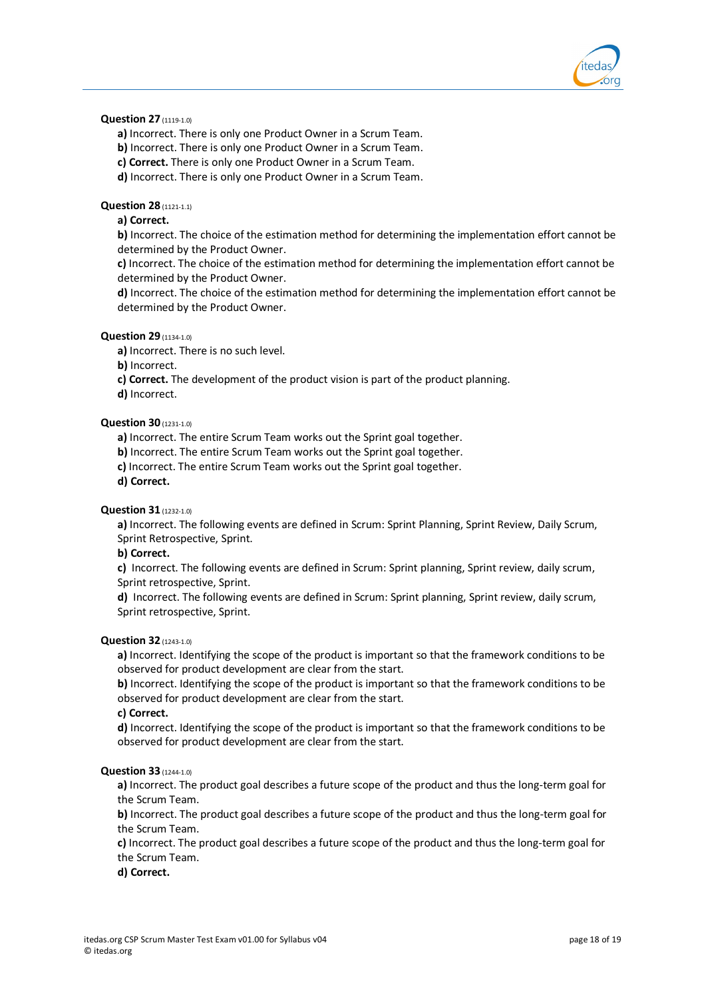

# **Question 27** (1119-1.0)

**a)** Incorrect. There is only one Product Owner in a Scrum Team.

- **b)** Incorrect. There is only one Product Owner in a Scrum Team.
- **c) Correct.** There is only one Product Owner in a Scrum Team.

**d)** Incorrect. There is only one Product Owner in a Scrum Team.

# **Question 28** (1121-1.1)

# **a) Correct.**

**b)** Incorrect. The choice of the estimation method for determining the implementation effort cannot be determined by the Product Owner.

**c)** Incorrect. The choice of the estimation method for determining the implementation effort cannot be determined by the Product Owner.

**d)** Incorrect. The choice of the estimation method for determining the implementation effort cannot be determined by the Product Owner.

#### **Question 29** (1134-1.0)

**a)** Incorrect. There is no such level.

**b)** Incorrect.

- **c) Correct.** The development of the product vision is part of the product planning.
- **d)** Incorrect.

#### **Question 30** (1231-1.0)

**a)** Incorrect. The entire Scrum Team works out the Sprint goal together.

**b)** Incorrect. The entire Scrum Team works out the Sprint goal together.

**c)** Incorrect. The entire Scrum Team works out the Sprint goal together.

**d) Correct.**

#### **Question 31** (1232-1.0)

**a)** Incorrect. The following events are defined in Scrum: Sprint Planning, Sprint Review, Daily Scrum, Sprint Retrospective, Sprint.

# **b) Correct.**

**c)** Incorrect. The following events are defined in Scrum: Sprint planning, Sprint review, daily scrum, Sprint retrospective, Sprint.

**d)** Incorrect. The following events are defined in Scrum: Sprint planning, Sprint review, daily scrum, Sprint retrospective, Sprint.

#### **Question 32** (1243-1.0)

**a)** Incorrect. Identifying the scope of the product is important so that the framework conditions to be observed for product development are clear from the start.

**b)** Incorrect. Identifying the scope of the product is important so that the framework conditions to be observed for product development are clear from the start.

# **c) Correct.**

**d)** Incorrect. Identifying the scope of the product is important so that the framework conditions to be observed for product development are clear from the start.

#### **Question 33** (1244-1.0)

**a)** Incorrect. The product goal describes a future scope of the product and thus the long-term goal for the Scrum Team.

**b)** Incorrect. The product goal describes a future scope of the product and thus the long-term goal for the Scrum Team.

**c)** Incorrect. The product goal describes a future scope of the product and thus the long-term goal for the Scrum Team.

#### **d) Correct.**